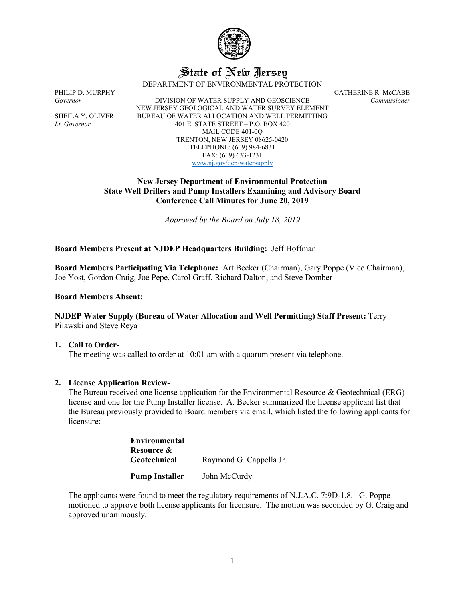

# State of New Jersey

DEPARTMENT OF ENVIRONMENTAL PROTECTION

PHILIP D. MURPHY<br>Governor CATHERINE R. McCABE Covernor Commissioner *Governor* DIVISION OF WATER SUPPLY AND GEOSCIENCE *Commissioner* NEW JERSEY GEOLOGICAL AND WATER SURVEY ELEMENT SHEILA Y. OLIVER BUREAU OF WATER ALLOCATION AND WELL PERMITTING *Lt. Governor* 401 E. STATE STREET – P.O. BOX 420 MAIL CODE 401-0Q TRENTON, NEW JERSEY 08625-0420 TELEPHONE: (609) 984-6831 FAX: (609) 633-1231 [www.nj.gov/dep/watersupply](http://www.nj.gov/dep/watersupply)

> **New Jersey Department of Environmental Protection State Well Drillers and Pump Installers Examining and Advisory Board Conference Call Minutes for June 20, 2019**

> > *Approved by the Board on July 18, 2019*

# **Board Members Present at NJDEP Headquarters Building:** Jeff Hoffman

**Board Members Participating Via Telephone:** Art Becker (Chairman), Gary Poppe (Vice Chairman), Joe Yost, Gordon Craig, Joe Pepe, Carol Graff, Richard Dalton, and Steve Domber

**Board Members Absent:**

#### **NJDEP Water Supply (Bureau of Water Allocation and Well Permitting) Staff Present:** Terry Pilawski and Steve Reya

**1. Call to Order-**

The meeting was called to order at 10:01 am with a quorum present via telephone.

#### **2. License Application Review-**

The Bureau received one license application for the Environmental Resource & Geotechnical (ERG) license and one for the Pump Installer license. A. Becker summarized the license applicant list that the Bureau previously provided to Board members via email, which listed the following applicants for licensure:

> **Environmental Resource & Geotechnical** Raymond G. Cappella Jr. **Pump Installer** John McCurdy

The applicants were found to meet the regulatory requirements of N.J.A.C. 7:9D-1.8. G. Poppe motioned to approve both license applicants for licensure. The motion was seconded by G. Craig and approved unanimously.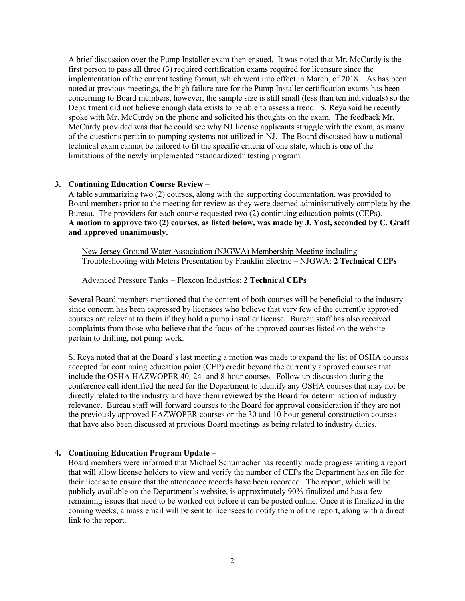A brief discussion over the Pump Installer exam then ensued. It was noted that Mr. McCurdy is the first person to pass all three (3) required certification exams required for licensure since the implementation of the current testing format, which went into effect in March, of 2018. As has been noted at previous meetings, the high failure rate for the Pump Installer certification exams has been concerning to Board members, however, the sample size is still small (less than ten individuals) so the Department did not believe enough data exists to be able to assess a trend. S. Reya said he recently spoke with Mr. McCurdy on the phone and solicited his thoughts on the exam. The feedback Mr. McCurdy provided was that he could see why NJ license applicants struggle with the exam, as many of the questions pertain to pumping systems not utilized in NJ. The Board discussed how a national technical exam cannot be tailored to fit the specific criteria of one state, which is one of the limitations of the newly implemented "standardized" testing program.

# **3. Continuing Education Course Review –**

A table summarizing two (2) courses, along with the supporting documentation, was provided to Board members prior to the meeting for review as they were deemed administratively complete by the Bureau. The providers for each course requested two (2) continuing education points (CEPs). **A motion to approve two (2) courses, as listed below, was made by J. Yost, seconded by C. Graff and approved unanimously.** 

New Jersey Ground Water Association (NJGWA) Membership Meeting including Troubleshooting with Meters Presentation by Franklin Electric – NJGWA: **2 Technical CEPs**

#### Advanced Pressure Tanks – Flexcon Industries: **2 Technical CEPs**

Several Board members mentioned that the content of both courses will be beneficial to the industry since concern has been expressed by licensees who believe that very few of the currently approved courses are relevant to them if they hold a pump installer license. Bureau staff has also received complaints from those who believe that the focus of the approved courses listed on the website pertain to drilling, not pump work.

S. Reya noted that at the Board's last meeting a motion was made to expand the list of OSHA courses accepted for continuing education point (CEP) credit beyond the currently approved courses that include the OSHA HAZWOPER 40, 24- and 8-hour courses. Follow up discussion during the conference call identified the need for the Department to identify any OSHA courses that may not be directly related to the industry and have them reviewed by the Board for determination of industry relevance. Bureau staff will forward courses to the Board for approval consideration if they are not the previously approved HAZWOPER courses or the 30 and 10-hour general construction courses that have also been discussed at previous Board meetings as being related to industry duties.

# **4. Continuing Education Program Update –**

Board members were informed that Michael Schumacher has recently made progress writing a report that will allow license holders to view and verify the number of CEPs the Department has on file for their license to ensure that the attendance records have been recorded. The report, which will be publicly available on the Department's website, is approximately 90% finalized and has a few remaining issues that need to be worked out before it can be posted online. Once it is finalized in the coming weeks, a mass email will be sent to licensees to notify them of the report, along with a direct link to the report.